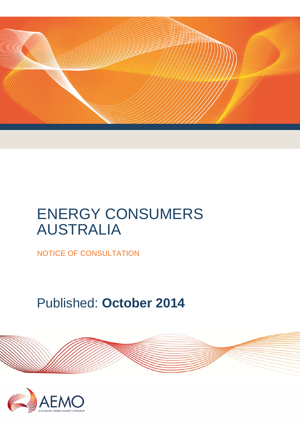

# ENERGY CONSUMERS AUSTRALIA

NOTICE OF CONSULTATION

Published: **October 2014**

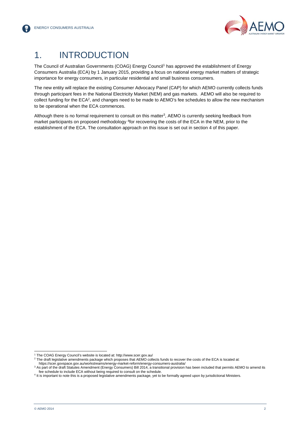

# 1. INTRODUCTION

The Council of Australian Governments (COAG) Energy Council<sup>1</sup> has approved the establishment of Energy Consumers Australia (ECA) by 1 January 2015, providing a focus on national energy market matters of strategic importance for energy consumers, in particular residential and small business consumers.

The new entity will replace the existing Consumer Advocacy Panel (CAP) for which AEMO currently collects funds through participant fees in the National Electricity Market (NEM) and gas markets. AEMO will also be required to collect funding for the ECA<sup>2</sup>, and changes need to be made to AEMO's fee schedules to allow the new mechanism to be operational when the ECA commences.

Although there is no formal requirement to consult on this matter<sup>3</sup>, AEMO is currently seeking feedback from market participants on proposed methodology <sup>4</sup>for recovering the costs of the ECA in the NEM, prior to the establishment of the ECA. The consultation approach on this issue is set out in section 4 of this paper.

l <sup>1</sup> The COAG Energy Council's website is located at: http://www.scer.gov.au/

The draft legislative amendments package which proposes that AEMO collects funds to recover the costs of the ECA is located at:

https://scer.govspace.gov.au/workstreams/energy-market-reform/energy-consumers-australia/ 3

<sup>&</sup>lt;sup>3</sup> As part of the draft Statutes Amendment (Energy Consumers) Bill 2014, a transitional provision has been included that permits AEMO to amend its<br>fee schedule to include ECA without being required to consult on the sched

<sup>&</sup>lt;sup>4</sup> It is important to note this is a proposed legislative amendments package, yet to be formally agreed upon by jurisdictional Ministers.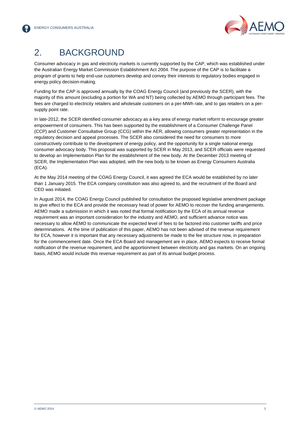

## 2. BACKGROUND

Consumer advocacy in gas and electricity markets is currently supported by the CAP, which was established under the Australian Energy Market Commission Establishment Act 2004. The purpose of the CAP is to facilitate a program of grants to help end-use customers develop and convey their interests to regulatory bodies engaged in energy policy decision-making.

Funding for the CAP is approved annually by the COAG Energy Council (and previously the SCER), with the majority of this amount (excluding a portion for WA and NT) being collected by AEMO through participant fees. The fees are charged to electricity retailers and wholesale customers on a per-MWh rate, and to gas retailers on a persupply point rate.

In late-2012, the SCER identified consumer advocacy as a key area of energy market reform to encourage greater empowerment of consumers. This has been supported by the establishment of a Consumer Challenge Panel (CCP) and Customer Consultative Group (CCG) within the AER, allowing consumers greater representation in the regulatory decision and appeal processes. The SCER also considered the need for consumers to more constructively contribute to the development of energy policy, and the opportunity for a single national energy consumer advocacy body. This proposal was supported by SCER in May 2013, and SCER officials were requested to develop an Implementation Plan for the establishment of the new body. At the December 2013 meeting of SCER, the Implementation Plan was adopted, with the new body to be known as Energy Consumers Australia (ECA).

At the May 2014 meeting of the COAG Energy Council, it was agreed the ECA would be established by no later than 1 January 2015. The ECA company constitution was also agreed to, and the recruitment of the Board and CEO was initiated.

In August 2014, the COAG Energy Council published for consultation the proposed legislative amendment package to give effect to the ECA and provide the necessary head of power for AEMO to recover the funding arrangements. AEMO made a submission in which it was noted that formal notification by the ECA of its annual revenue requirement was an important consideration for the industry and AEMO, and sufficient advance notice was necessary to allow AEMO to communicate the expected level of fees to be factored into customer tariffs and price determinations. At the time of publication of this paper, AEMO has not been advised of the revenue requirement for ECA, however it is important that any necessary adjustments be made to the fee structure now, in preparation for the commencement date. Once the ECA Board and management are in place, AEMO expects to receive formal notification of the revenue requirement, and the apportionment between electricity and gas markets. On an ongoing basis, AEMO would include this revenue requirement as part of its annual budget process.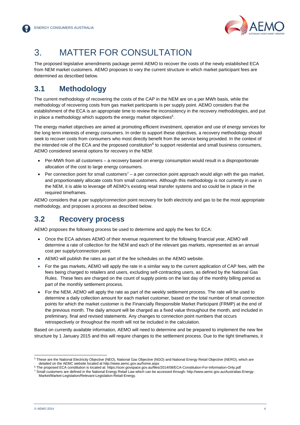

# 3. MATTER FOR CONSULTATION

The proposed legislative amendments package permit AEMO to recover the costs of the newly established ECA from NEM market customers. AEMO proposes to vary the current structure in which market participant fees are determined as described below.

### **3.1 Methodology**

The current methodology of recovering the costs of the CAP in the NEM are on a per MWh basis, while the methodology of recovering costs from gas market participants is per supply point. AEMO considers that the establishment of the ECA is an appropriate time to review the inconsistency in the recovery methodologies, and put in place a methodology which supports the energy market objectives<sup>5</sup>.

The energy market objectives are aimed at promoting efficient investment, operation and use of energy services for the long term interests of energy consumers. In order to support these objectives, a recovery methodology should seek to recover costs from consumers who most directly benefit from the service being provided. In the context of the intended role of the ECA and the proposed constitution<sup>6</sup> to support residential and small business consumers, AEMO considered several options for recovery in the NEM:

- Per-MWh from all customers a recovery based on energy consumption would result in a disproportionate allocation of the cost to large energy consumers.
- Per connection point for small customers<sup>7</sup> a per connection point approach would align with the gas market, and proportionately allocate costs from small customers. Although this methodology is not currently in use in the NEM, it is able to leverage off AEMO's existing retail transfer systems and so could be in place in the required timeframes.

AEMO considers that a per supply/connection point recovery for both electricity and gas to be the most appropriate methodology, and proposes a process as described below.

#### **3.2 Recovery process**

AEMO proposes the following process be used to determine and apply the fees for ECA:

- Once the ECA advises AEMO of their revenue requirement for the following financial year, AEMO will determine a rate of collection for the NEM and each of the relevant gas markets, represented as an annual cost per supply/connection point.
- AEMO will publish the rates as part of the fee schedules on the AEMO website.
- For the gas markets, AEMO will apply the rate in a similar way to the current application of CAP fees, with the fees being charged to retailers and users, excluding self-contracting users, as defined by the National Gas Rules. These fees are charged on the count of supply points on the last day of the monthly billing period as part of the monthly settlement process.
- For the NEM, AEMO will apply the rate as part of the weekly settlement process. The rate will be used to determine a daily collection amount for each market customer, based on the total number of small connection points for which the market customer is the Financially Responsible Market Participant (FRMP) at the end of the previous month. The daily amount will be charged as a fixed value throughout the month, and included in preliminary, final and revised statements. Any changes to connection point numbers that occurs retrospectively or throughout the month will not be included in the calculation.

Based on currently available information, AEMO will need to determine and be prepared to implement the new fee structure by 1 January 2015 and this will require changes to the settlement process. Due to the tight timeframes, it

l

<sup>&</sup>lt;sup>5</sup> These are the National Electricity Objective (NEO), National Gas Objective (NGO) and National Energy Retail Objective (NERO), which are detailed on the AEMC website located at http://www.aemc.gov.au/home.aspx<br><sup>6</sup> The proposed ECA constitution is located at: https://scer.gov.pace.gov.au/files/

<sup>&</sup>lt;sup>6</sup> The proposed ECA constitution is located at: https://scer.govspace.gov.au/files/2014/08/ECA-Constitution-For-Information-Only.pdf<br><sup>7</sup> Small customers are defined in the National Energy Retail Law which can be accessed Market/Market-Legislation/Relevant-Legislation-Retail-Energy.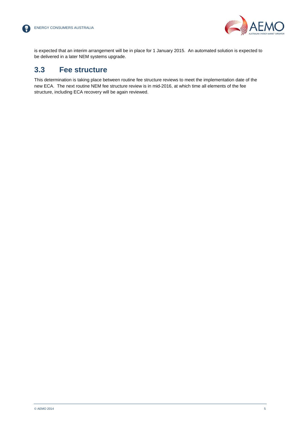【帚



is expected that an interim arrangement will be in place for 1 January 2015. An automated solution is expected to be delivered in a later NEM systems upgrade.

#### **3.3 Fee structure**

This determination is taking place between routine fee structure reviews to meet the implementation date of the new ECA. The next routine NEM fee structure review is in mid-2016, at which time all elements of the fee structure, including ECA recovery will be again reviewed.